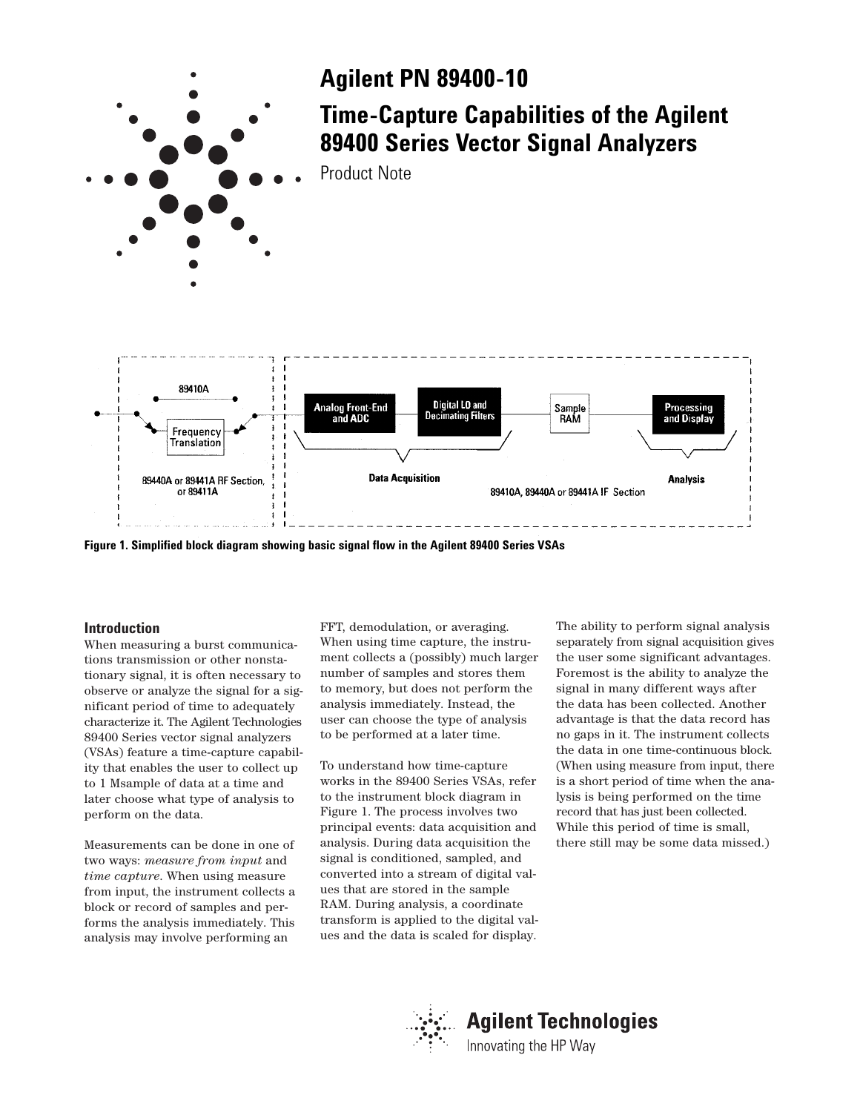

**Figure 1. Simplified block diagram showing basic signal flow in the Agilent 89400 Series VSAs**

## **Introduction**

When measuring a burst communications transmission or other nonstationary signal, it is often necessary to observe or analyze the signal for a significant period of time to adequately characterize it. The Agilent Technologies 89400 Series vector signal analyzers (VSAs) feature a time-capture capability that enables the user to collect up to 1 Msample of data at a time and later choose what type of analysis to perform on the data.

Measurements can be done in one of two ways: *measure from input* and *time capture*. When using measure from input, the instrument collects a block or record of samples and performs the analysis immediately. This analysis may involve performing an

FFT, demodulation, or averaging. When using time capture, the instrument collects a (possibly) much larger number of samples and stores them to memory, but does not perform the analysis immediately. Instead, the user can choose the type of analysis to be performed at a later time.

To understand how time-capture works in the 89400 Series VSAs, refer to the instrument block diagram in Figure 1. The process involves two principal events: data acquisition and analysis. During data acquisition the signal is conditioned, sampled, and converted into a stream of digital values that are stored in the sample RAM. During analysis, a coordinate transform is applied to the digital values and the data is scaled for display.

The ability to perform signal analysis separately from signal acquisition gives the user some significant advantages. Foremost is the ability to analyze the signal in many different ways after the data has been collected. Another advantage is that the data record has no gaps in it. The instrument collects the data in one time-continuous block. (When using measure from input, there is a short period of time when the analysis is being performed on the time record that has just been collected. While this period of time is small, there still may be some data missed.)

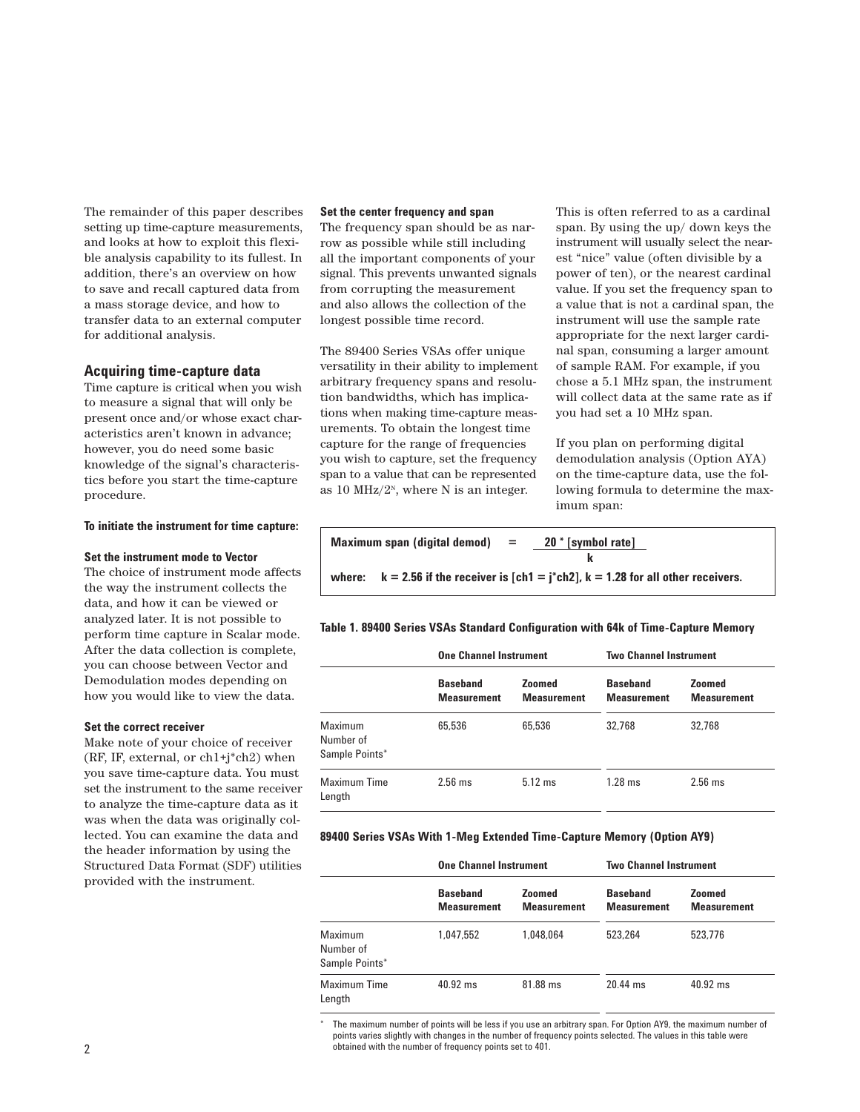The remainder of this paper describes setting up time-capture measurements, and looks at how to exploit this flexible analysis capability to its fullest. In addition, there's an overview on how to save and recall captured data from a mass storage device, and how to transfer data to an external computer for additional analysis.

## **Acquiring time-capture data**

Time capture is critical when you wish to measure a signal that will only be present once and/or whose exact characteristics aren't known in advance; however, you do need some basic knowledge of the signal's characteristics before you start the time-capture procedure.

## **To initiate the instrument for time capture:**

### **Set the instrument mode to Vector**

The choice of instrument mode affects the way the instrument collects the data, and how it can be viewed or analyzed later. It is not possible to perform time capture in Scalar mode. After the data collection is complete, you can choose between Vector and Demodulation modes depending on how you would like to view the data.

## **Set the correct receiver**

Make note of your choice of receiver (RF, IF, external, or ch1+j\*ch2) when you save time-capture data. You must set the instrument to the same receiver to analyze the time-capture data as it was when the data was originally collected. You can examine the data and the header information by using the Structured Data Format (SDF) utilities provided with the instrument.

#### **Set the center frequency and span**

The frequency span should be as narrow as possible while still including all the important components of your signal. This prevents unwanted signals from corrupting the measurement and also allows the collection of the longest possible time record.

The 89400 Series VSAs offer unique versatility in their ability to implement arbitrary frequency spans and resolution bandwidths, which has implications when making time-capture measurements. To obtain the longest time capture for the range of frequencies you wish to capture, set the frequency span to a value that can be represented as 10 MHz/ $2^N$ , where N is an integer.

This is often referred to as a cardinal span. By using the up/ down keys the instrument will usually select the nearest "nice" value (often divisible by a power of ten), or the nearest cardinal value. If you set the frequency span to a value that is not a cardinal span, the instrument will use the sample rate appropriate for the next larger cardinal span, consuming a larger amount of sample RAM. For example, if you chose a 5.1 MHz span, the instrument will collect data at the same rate as if you had set a 10 MHz span.

If you plan on performing digital demodulation analysis (Option AYA) on the time-capture data, use the following formula to determine the maximum span:

| Maximum span (digital demod) |                                                                                              | $=$ | 20 * [symbol rate] |  |
|------------------------------|----------------------------------------------------------------------------------------------|-----|--------------------|--|
|                              |                                                                                              |     |                    |  |
|                              | where: $k = 2.56$ if the receiver is $[ch1 = j * ch2]$ , $k = 1.28$ for all other receivers. |     |                    |  |

## **Table 1. 89400 Series VSAs Standard Configuration with 64k of Time-Capture Memory**

|                                        | <b>One Channel Instrument</b>         |                                     | <b>Two Channel Instrument</b>         |                                     |
|----------------------------------------|---------------------------------------|-------------------------------------|---------------------------------------|-------------------------------------|
|                                        | <b>Baseband</b><br><b>Measurement</b> | <b>Zoomed</b><br><b>Measurement</b> | <b>Baseband</b><br><b>Measurement</b> | <b>Zoomed</b><br><b>Measurement</b> |
| Maximum<br>Number of<br>Sample Points* | 65.536                                | 65.536                              | 32.768                                | 32.768                              |
| Maximum Time<br>Length                 | $2.56$ ms                             | $5.12$ ms                           | $1.28$ ms                             | $2.56$ ms                           |

#### **89400 Series VSAs With 1-Meg Extended Time-Capture Memory (Option AY9)**

|                                        | <b>One Channel Instrument</b>         |                                     | <b>Two Channel Instrument</b>         |                                     |
|----------------------------------------|---------------------------------------|-------------------------------------|---------------------------------------|-------------------------------------|
|                                        | <b>Baseband</b><br><b>Measurement</b> | <b>Zoomed</b><br><b>Measurement</b> | <b>Baseband</b><br><b>Measurement</b> | <b>Zoomed</b><br><b>Measurement</b> |
| Maximum<br>Number of<br>Sample Points* | 1.047.552                             | 1.048.064                           | 523.264                               | 523.776                             |
| Maximum Time<br>Length                 | $40.92$ ms                            | 81.88 ms                            | $20.44$ ms                            | $40.92$ ms                          |

The maximum number of points will be less if you use an arbitrary span. For Option AY9, the maximum number of points varies slightly with changes in the number of frequency points selected. The values in this table were obtained with the number of frequency points set to 401.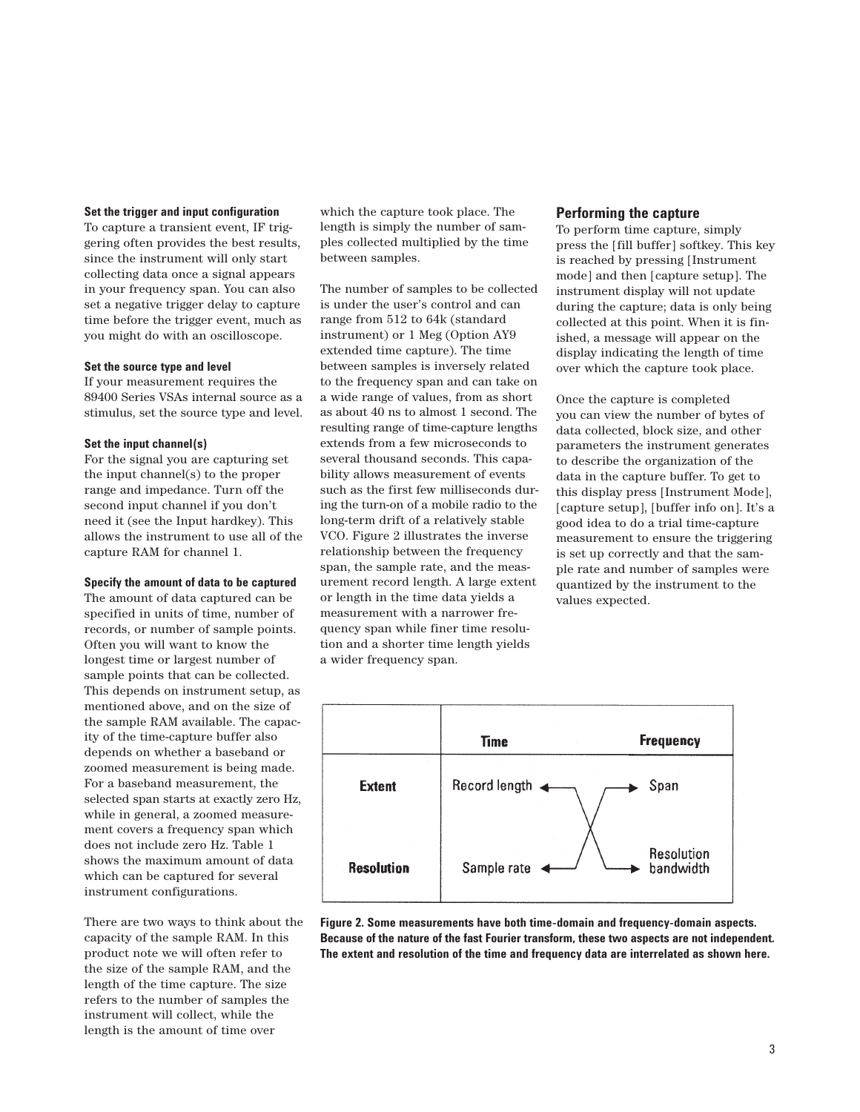### **Set the trigger and input configuration**

To capture a transient event, IF triggering often provides the best results, since the instrument will only start collecting data once a signal appears in your frequency span. You can also set a negative trigger delay to capture time before the trigger event, much as you might do with an oscilloscope.

### **Set the source type and level**

If your measurement requires the 89400 Series VSAs internal source as a stimulus, set the source type and level.

## **Set the input channel(s)**

For the signal you are capturing set the input channel(s) to the proper range and impedance. Turn off the second input channel if you don't need it (see the Input hardkey). This allows the instrument to use all of the capture RAM for channel 1.

## **Specify the amount of data to be captured**

The amount of data captured can be specified in units of time, number of records, or number of sample points. Often you will want to know the longest time or largest number of sample points that can be collected. This depends on instrument setup, as mentioned above, and on the size of the sample RAM available. The capacity of the time-capture buffer also depends on whether a baseband or zoomed measurement is being made. For a baseband measurement, the selected span starts at exactly zero Hz, while in general, a zoomed measurement covers a frequency span which does not include zero Hz. Table 1 shows the maximum amount of data which can be captured for several instrument configurations.

There are two ways to think about the capacity of the sample RAM. In this product note we will often refer to the size of the sample RAM, and the length of the time capture. The size refers to the number of samples the instrument will collect, while the length is the amount of time over

which the capture took place. The length is simply the number of samples collected multiplied by the time between samples.

The number of samples to be collected is under the user's control and can range from 512 to 64k (standard instrument) or 1 Meg (Option AY9 extended time capture). The time between samples is inversely related to the frequency span and can take on a wide range of values, from as short as about 40 ns to almost 1 second. The resulting range of time-capture lengths extends from a few microseconds to several thousand seconds. This capability allows measurement of events such as the first few milliseconds during the turn-on of a mobile radio to the long-term drift of a relatively stable VCO. Figure 2 illustrates the inverse relationship between the frequency span, the sample rate, and the measurement record length. A large extent or length in the time data yields a measurement with a narrower frequency span while finer time resolution and a shorter time length yields a wider frequency span.

## **Performing the capture**

To perform time capture, simply press the [fill buffer] softkey. This key is reached by pressing [Instrument mode] and then [capture setup]. The instrument display will not update during the capture; data is only being collected at this point. When it is finished, a message will appear on the display indicating the length of time over which the capture took place.

Once the capture is completed you can view the number of bytes of data collected, block size, and other parameters the instrument generates to describe the organization of the data in the capture buffer. To get to this display press [Instrument Mode], [capture setup], [buffer info on]. It's a good idea to do a trial time-capture measurement to ensure the triggering is set up correctly and that the sample rate and number of samples were quantized by the instrument to the values expected.



**Figure 2. Some measurements have both time-domain and frequency-domain aspects. Because of the nature of the fast Fourier transform, these two aspects are not independent. The extent and resolution of the time and frequency data are interrelated as shown here.**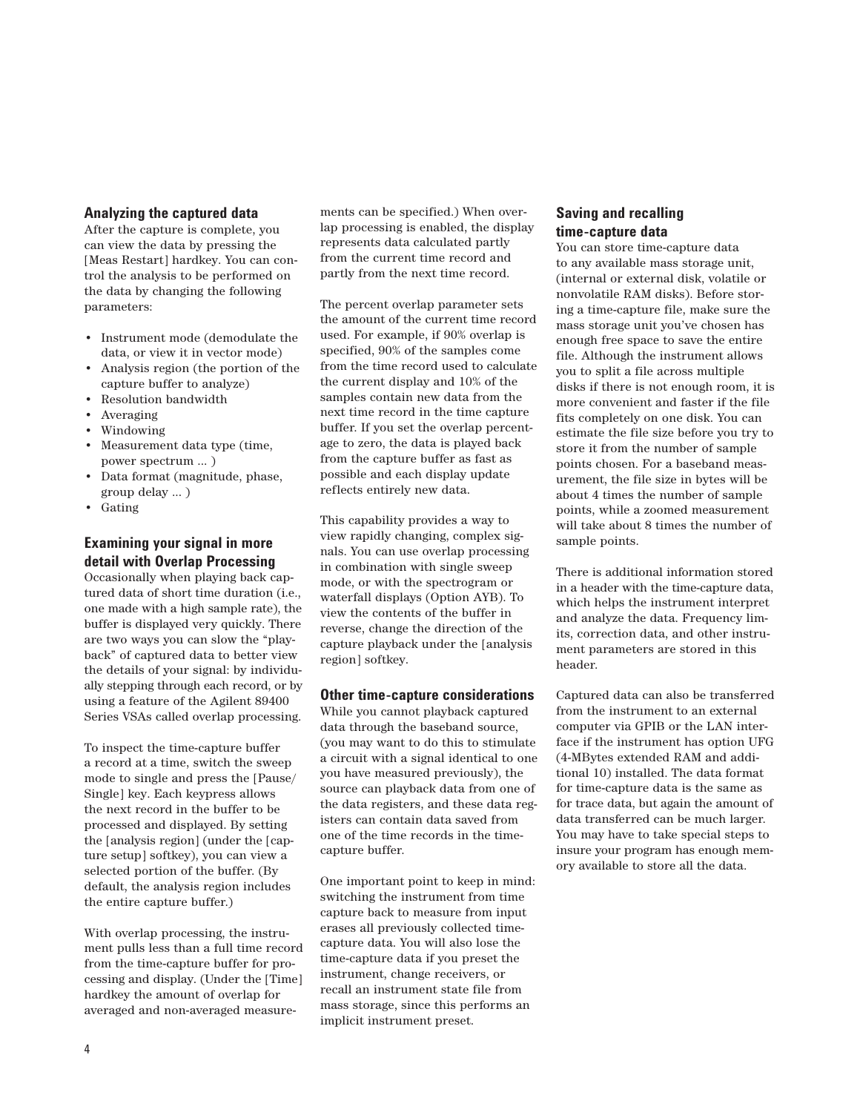## **Analyzing the captured data**

After the capture is complete, you can view the data by pressing the [Meas Restart] hardkey. You can control the analysis to be performed on the data by changing the following parameters:

- Instrument mode (demodulate the data, or view it in vector mode)
- Analysis region (the portion of the capture buffer to analyze)
- Resolution bandwidth
- Averaging
- Windowing
- Measurement data type (time, power spectrum ... )
- Data format (magnitude, phase, group delay ... )
- Gating

# **Examining your signal in more detail with Overlap Processing**

Occasionally when playing back captured data of short time duration (i.e., one made with a high sample rate), the buffer is displayed very quickly. There are two ways you can slow the "playback" of captured data to better view the details of your signal: by individually stepping through each record, or by using a feature of the Agilent 89400 Series VSAs called overlap processing.

To inspect the time-capture buffer a record at a time, switch the sweep mode to single and press the [Pause/ Single] key. Each keypress allows the next record in the buffer to be processed and displayed. By setting the [analysis region] (under the [capture setup] softkey), you can view a selected portion of the buffer. (By default, the analysis region includes the entire capture buffer.)

With overlap processing, the instrument pulls less than a full time record from the time-capture buffer for processing and display. (Under the [Time] hardkey the amount of overlap for averaged and non-averaged measurements can be specified.) When overlap processing is enabled, the display represents data calculated partly from the current time record and partly from the next time record.

The percent overlap parameter sets the amount of the current time record used. For example, if 90% overlap is specified, 90% of the samples come from the time record used to calculate the current display and 10% of the samples contain new data from the next time record in the time capture buffer. If you set the overlap percentage to zero, the data is played back from the capture buffer as fast as possible and each display update reflects entirely new data.

This capability provides a way to view rapidly changing, complex signals. You can use overlap processing in combination with single sweep mode, or with the spectrogram or waterfall displays (Option AYB). To view the contents of the buffer in reverse, change the direction of the capture playback under the [analysis region] softkey.

## **Other time-capture considerations**

While you cannot playback captured data through the baseband source, (you may want to do this to stimulate a circuit with a signal identical to one you have measured previously), the source can playback data from one of the data registers, and these data registers can contain data saved from one of the time records in the timecapture buffer.

One important point to keep in mind: switching the instrument from time capture back to measure from input erases all previously collected timecapture data. You will also lose the time-capture data if you preset the instrument, change receivers, or recall an instrument state file from mass storage, since this performs an implicit instrument preset.

# **Saving and recalling time-capture data**

You can store time-capture data to any available mass storage unit, (internal or external disk, volatile or nonvolatile RAM disks). Before storing a time-capture file, make sure the mass storage unit you've chosen has enough free space to save the entire file. Although the instrument allows you to split a file across multiple disks if there is not enough room, it is more convenient and faster if the file fits completely on one disk. You can estimate the file size before you try to store it from the number of sample points chosen. For a baseband measurement, the file size in bytes will be about 4 times the number of sample points, while a zoomed measurement will take about 8 times the number of sample points.

There is additional information stored in a header with the time-capture data, which helps the instrument interpret and analyze the data. Frequency limits, correction data, and other instrument parameters are stored in this header.

Captured data can also be transferred from the instrument to an external computer via GPIB or the LAN interface if the instrument has option UFG (4-MBytes extended RAM and additional 10) installed. The data format for time-capture data is the same as for trace data, but again the amount of data transferred can be much larger. You may have to take special steps to insure your program has enough memory available to store all the data.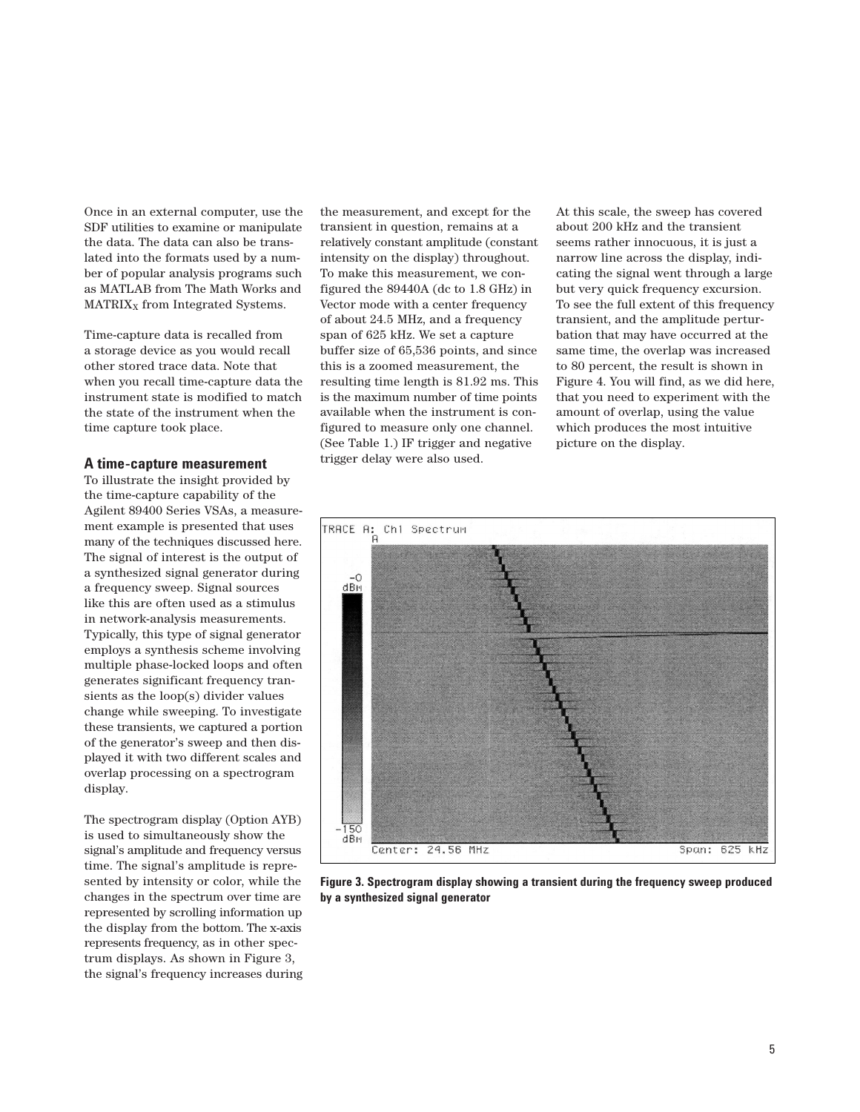Once in an external computer, use the SDF utilities to examine or manipulate the data. The data can also be translated into the formats used by a number of popular analysis programs such as MATLAB from The Math Works and  $MATRIX<sub>X</sub>$  from Integrated Systems.

Time-capture data is recalled from a storage device as you would recall other stored trace data. Note that when you recall time-capture data the instrument state is modified to match the state of the instrument when the time capture took place.

## **A time-capture measurement**

To illustrate the insight provided by the time-capture capability of the Agilent 89400 Series VSAs, a measurement example is presented that uses many of the techniques discussed here. The signal of interest is the output of a synthesized signal generator during a frequency sweep. Signal sources like this are often used as a stimulus in network-analysis measurements. Typically, this type of signal generator employs a synthesis scheme involving multiple phase-locked loops and often generates significant frequency transients as the loop(s) divider values change while sweeping. To investigate these transients, we captured a portion of the generator's sweep and then displayed it with two different scales and overlap processing on a spectrogram display.

The spectrogram display (Option AYB) is used to simultaneously show the signal's amplitude and frequency versus time. The signal's amplitude is represented by intensity or color, while the changes in the spectrum over time are represented by scrolling information up the display from the bottom. The x-axis represents frequency, as in other spectrum displays. As shown in Figure 3, the signal's frequency increases during the measurement, and except for the transient in question, remains at a relatively constant amplitude (constant intensity on the display) throughout. To make this measurement, we configured the 89440A (dc to 1.8 GHz) in Vector mode with a center frequency of about 24.5 MHz, and a frequency span of 625 kHz. We set a capture buffer size of 65,536 points, and since this is a zoomed measurement, the resulting time length is 81.92 ms. This is the maximum number of time points available when the instrument is configured to measure only one channel. (See Table 1.) IF trigger and negative trigger delay were also used.

At this scale, the sweep has covered about 200 kHz and the transient seems rather innocuous, it is just a narrow line across the display, indicating the signal went through a large but very quick frequency excursion. To see the full extent of this frequency transient, and the amplitude perturbation that may have occurred at the same time, the overlap was increased to 80 percent, the result is shown in Figure 4. You will find, as we did here, that you need to experiment with the amount of overlap, using the value which produces the most intuitive picture on the display.



**Figure 3. Spectrogram display showing a transient during the frequency sweep produced by a synthesized signal generator**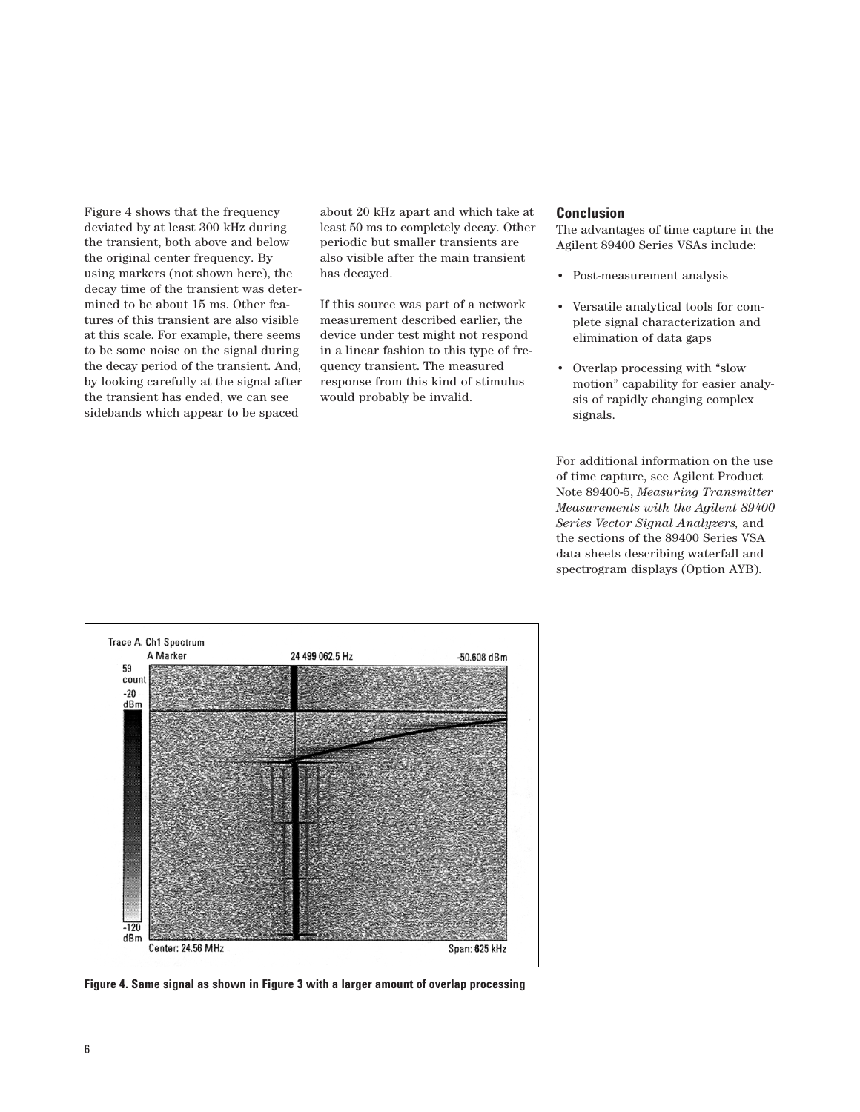Figure 4 shows that the frequency deviated by at least 300 kHz during the transient, both above and below the original center frequency. By using markers (not shown here), the decay time of the transient was determined to be about 15 ms. Other features of this transient are also visible at this scale. For example, there seems to be some noise on the signal during the decay period of the transient. And, by looking carefully at the signal after the transient has ended, we can see sidebands which appear to be spaced

about 20 kHz apart and which take at least 50 ms to completely decay. Other periodic but smaller transients are also visible after the main transient has decayed.

If this source was part of a network measurement described earlier, the device under test might not respond in a linear fashion to this type of frequency transient. The measured response from this kind of stimulus would probably be invalid.

## **Conclusion**

The advantages of time capture in the Agilent 89400 Series VSAs include:

- Post-measurement analysis
- Versatile analytical tools for complete signal characterization and elimination of data gaps
- Overlap processing with "slow motion" capability for easier analysis of rapidly changing complex signals.

For additional information on the use of time capture, see Agilent Product Note 89400-5, *Measuring Transmitter Measurements with the Agilent 89400 Series Vector Signal Analyzers,* and the sections of the 89400 Series VSA data sheets describing waterfall and spectrogram displays (Option AYB).



**Figure 4. Same signal as shown in Figure 3 with a larger amount of overlap processing**